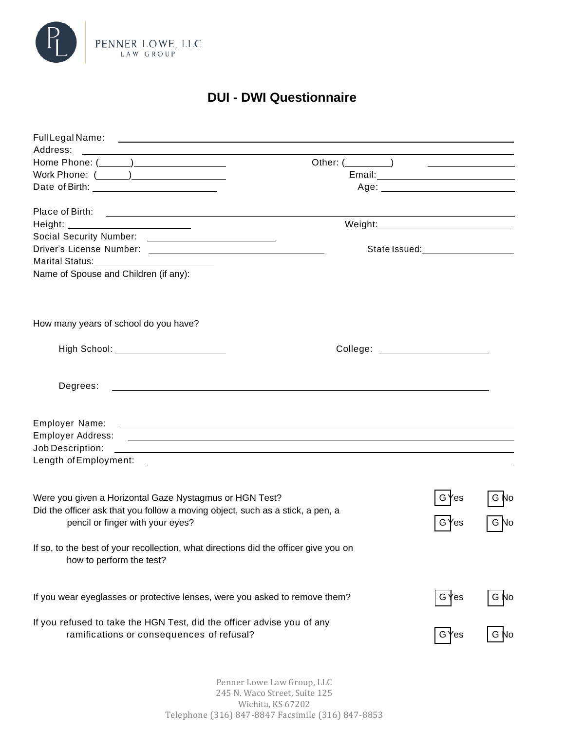

## **DUI - DWI Questionnaire**

| Full Legal Name:<br><u> 1989 - Johann Stoff, amerikansk politiker (d. 1989)</u>                                                                                                                                                |                                                                                                                                                                                                                                      |      |
|--------------------------------------------------------------------------------------------------------------------------------------------------------------------------------------------------------------------------------|--------------------------------------------------------------------------------------------------------------------------------------------------------------------------------------------------------------------------------------|------|
| Address:<br><u> Alexandria de la contrada de la contrada de la contrada de la contrada de la contrada de la contrada de la c</u>                                                                                               |                                                                                                                                                                                                                                      |      |
|                                                                                                                                                                                                                                |                                                                                                                                                                                                                                      |      |
|                                                                                                                                                                                                                                |                                                                                                                                                                                                                                      |      |
|                                                                                                                                                                                                                                |                                                                                                                                                                                                                                      |      |
|                                                                                                                                                                                                                                |                                                                                                                                                                                                                                      |      |
| Place of Birth: <u>December 2008</u>                                                                                                                                                                                           |                                                                                                                                                                                                                                      |      |
|                                                                                                                                                                                                                                | Weight: Network of the Marian Maria Maria Maria Maria Maria Maria Maria Maria Maria Maria Maria Maria Maria Ma                                                                                                                       |      |
|                                                                                                                                                                                                                                |                                                                                                                                                                                                                                      |      |
|                                                                                                                                                                                                                                |                                                                                                                                                                                                                                      |      |
| Marital Status: 1999                                                                                                                                                                                                           |                                                                                                                                                                                                                                      |      |
| Name of Spouse and Children (if any):                                                                                                                                                                                          |                                                                                                                                                                                                                                      |      |
|                                                                                                                                                                                                                                |                                                                                                                                                                                                                                      |      |
|                                                                                                                                                                                                                                |                                                                                                                                                                                                                                      |      |
| How many years of school do you have?                                                                                                                                                                                          |                                                                                                                                                                                                                                      |      |
|                                                                                                                                                                                                                                |                                                                                                                                                                                                                                      |      |
|                                                                                                                                                                                                                                |                                                                                                                                                                                                                                      |      |
|                                                                                                                                                                                                                                |                                                                                                                                                                                                                                      |      |
|                                                                                                                                                                                                                                |                                                                                                                                                                                                                                      |      |
| Degrees:                                                                                                                                                                                                                       |                                                                                                                                                                                                                                      |      |
|                                                                                                                                                                                                                                |                                                                                                                                                                                                                                      |      |
|                                                                                                                                                                                                                                |                                                                                                                                                                                                                                      |      |
|                                                                                                                                                                                                                                |                                                                                                                                                                                                                                      |      |
| Employer Address:                                                                                                                                                                                                              | <u> 1989 - Johann Stoff, deutscher Stoffen und der Stoffen und der Stoffen und der Stoffen und der Stoffen und der Stoffen und der Stoffen und der Stoffen und der Stoffen und der Stoffen und der Stoffen und der Stoffen und d</u> |      |
| Job Description:                                                                                                                                                                                                               | <u> 1999 - Johann Harry Harry Harry Harry Harry Harry Harry Harry Harry Harry Harry Harry Harry Harry Harry Harry H</u>                                                                                                              |      |
| Length of Employment: New York and Separate and Separate and Separate and Separate and Separate and Separate and Separate and Separate and Separate and Separate and Separate and Separate and Separate and Separate and Separ |                                                                                                                                                                                                                                      |      |
|                                                                                                                                                                                                                                |                                                                                                                                                                                                                                      |      |
| Were you given a Horizontal Gaze Nystagmus or HGN Test?                                                                                                                                                                        | G Yes                                                                                                                                                                                                                                | G No |
| Did the officer ask that you follow a moving object, such as a stick, a pen, a                                                                                                                                                 |                                                                                                                                                                                                                                      |      |
| pencil or finger with your eyes?                                                                                                                                                                                               | G Yes                                                                                                                                                                                                                                | G No |
|                                                                                                                                                                                                                                |                                                                                                                                                                                                                                      |      |
| If so, to the best of your recollection, what directions did the officer give you on                                                                                                                                           |                                                                                                                                                                                                                                      |      |
| how to perform the test?                                                                                                                                                                                                       |                                                                                                                                                                                                                                      |      |
|                                                                                                                                                                                                                                |                                                                                                                                                                                                                                      |      |
|                                                                                                                                                                                                                                |                                                                                                                                                                                                                                      |      |
| If you wear eyeglasses or protective lenses, were you asked to remove them?                                                                                                                                                    | G Yes                                                                                                                                                                                                                                | G No |
|                                                                                                                                                                                                                                |                                                                                                                                                                                                                                      |      |
| If you refused to take the HGN Test, did the officer advise you of any                                                                                                                                                         |                                                                                                                                                                                                                                      |      |
| ramifications or consequences of refusal?                                                                                                                                                                                      | $G$ Yes                                                                                                                                                                                                                              | G No |
|                                                                                                                                                                                                                                |                                                                                                                                                                                                                                      |      |

Penner Lowe Law Group, LLC 245 N. Waco Street, Suite 125 Wichita, KS 67202 Telephone (316) 847-8847 Facsimile (316) 847-8853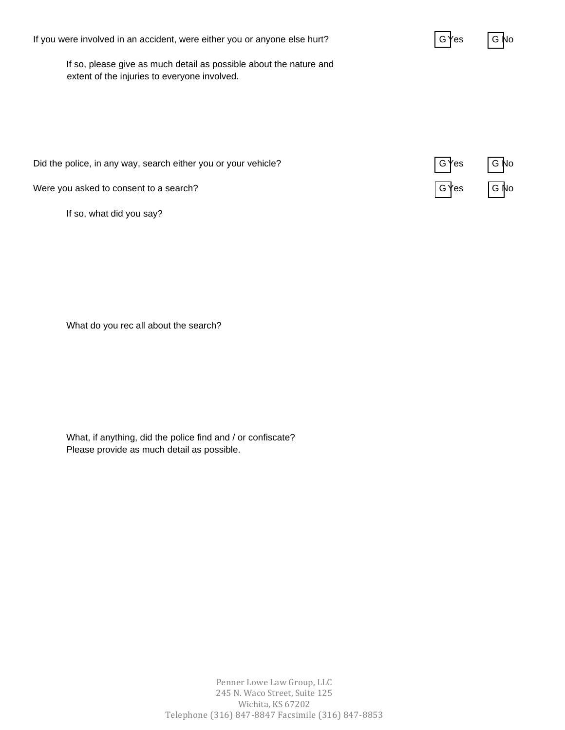If you were involved in an accident, were either you or anyone else hurt?

If so, please give as much detail as possible about the nature and extent of the injuries to everyone involved.

Did the police, in any way, search either you or your vehicle?

Were you asked to consent to a search?

If so, what did you say?

What do you rec all about the search?

What, if anything, did the police find and / or confiscate? Please provide as much detail as possible.



G Yes ∣ G No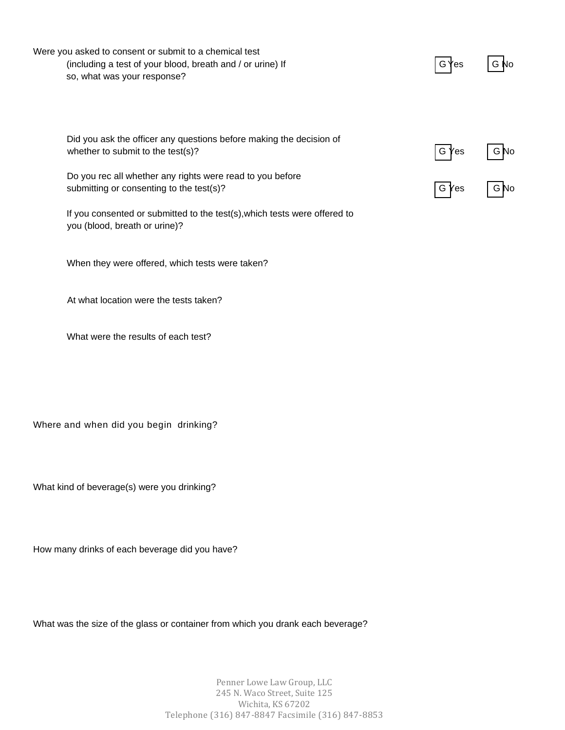Were you asked to consent or submit to a chemical test (including a test of your blood, breath and / or urine) If so, what was your response?

> Did you ask the officer any questions before making the decision of whether to submit to the test(s)?

Do you rec all whether any rights were read to you before submitting or consenting to the test(s)?

If you consented or submitted to the test(s),which tests were offered to you (blood, breath or urine)?

When they were offered, which tests were taken?

At what location were the tests taken?

What were the results of each test?

Where and when did you begin drinking?

What kind of beverage(s) were you drinking?

How many drinks of each beverage did you have?

What was the size of the glass or container from which you drank each beverage?

Penner Lowe Law Group, LLC 245 N. Waco Street, Suite 125 Wichita, KS 67202 Telephone (316) 847-8847 Facsimile (316) 847-8853

| $G$ Yes   | G No |
|-----------|------|
| $G$ $Yes$ | G No |

GYes G No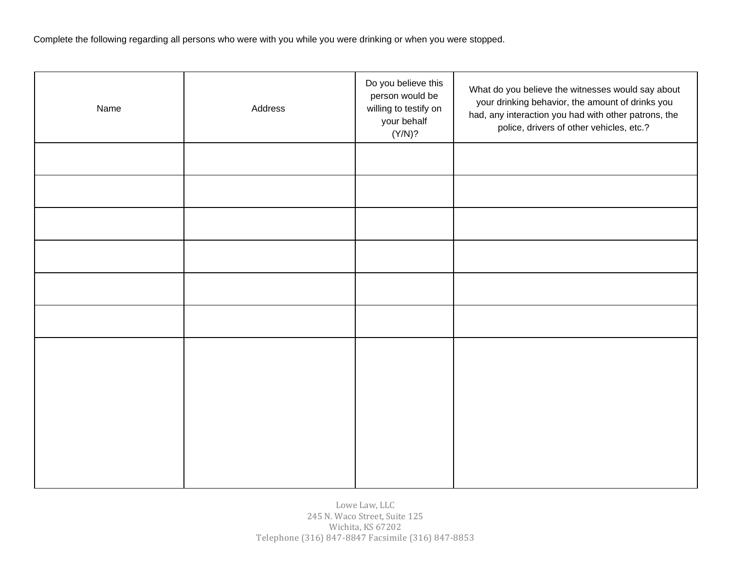Complete the following regarding all persons who were with you while you were drinking or when you were stopped.

| Name | Address | Do you believe this<br>person would be<br>willing to testify on<br>your behalf<br>(Y/N)? | What do you believe the witnesses would say about<br>your drinking behavior, the amount of drinks you<br>had, any interaction you had with other patrons, the<br>police, drivers of other vehicles, etc.? |
|------|---------|------------------------------------------------------------------------------------------|-----------------------------------------------------------------------------------------------------------------------------------------------------------------------------------------------------------|
|      |         |                                                                                          |                                                                                                                                                                                                           |
|      |         |                                                                                          |                                                                                                                                                                                                           |
|      |         |                                                                                          |                                                                                                                                                                                                           |
|      |         |                                                                                          |                                                                                                                                                                                                           |
|      |         |                                                                                          |                                                                                                                                                                                                           |
|      |         |                                                                                          |                                                                                                                                                                                                           |
|      |         |                                                                                          |                                                                                                                                                                                                           |
|      |         |                                                                                          |                                                                                                                                                                                                           |
|      |         |                                                                                          |                                                                                                                                                                                                           |
|      |         |                                                                                          |                                                                                                                                                                                                           |
|      |         |                                                                                          |                                                                                                                                                                                                           |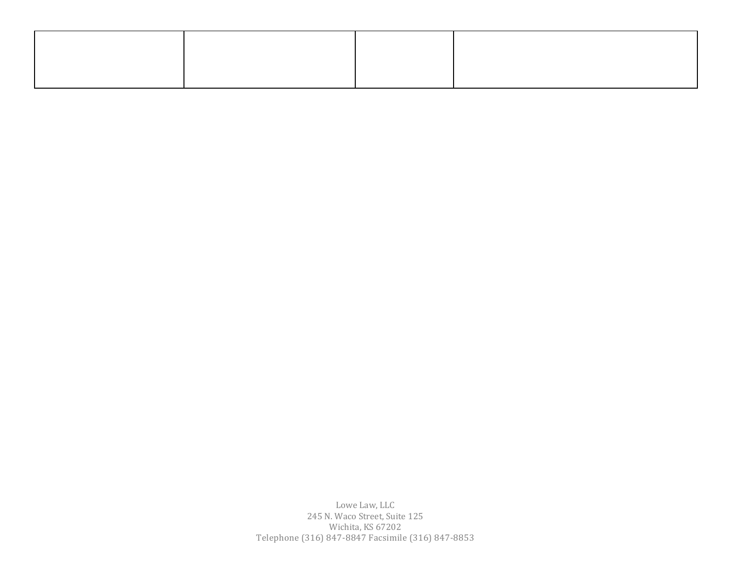Lowe Law, LLC 245 N. Waco Street, Suite 125 Wichita, KS 67202 Telephone (316) 847-8847 Facsimile (316) 847-8853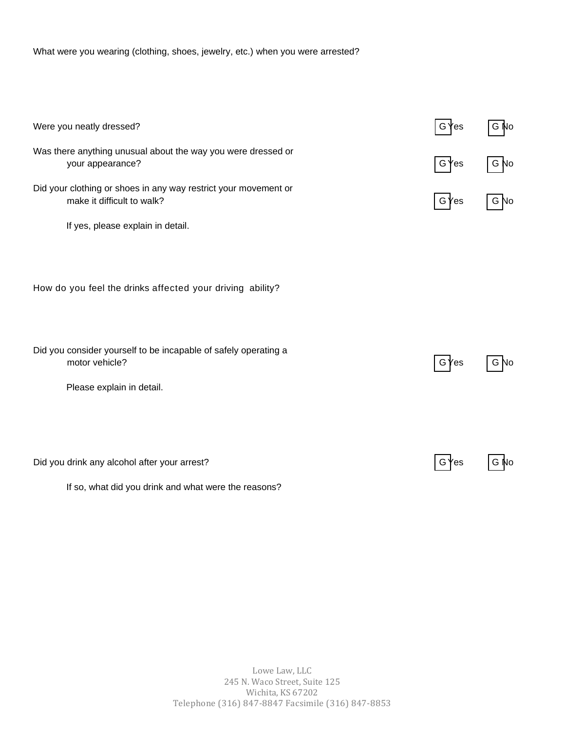What were you wearing (clothing, shoes, jewelry, etc.) when you were arrested?

| Were you neatly dressed?                                                                      | G<br>Yes        | G No |
|-----------------------------------------------------------------------------------------------|-----------------|------|
| Was there anything unusual about the way you were dressed or<br>your appearance?              | G Yes           | G No |
| Did your clothing or shoes in any way restrict your movement or<br>make it difficult to walk? | $G$ $\gamma$ es | G No |
| If yes, please explain in detail.                                                             |                 |      |
| How do you feel the drinks affected your driving ability?                                     |                 |      |
| Did you consider yourself to be incapable of safely operating a<br>motor vehicle?             | G Yes           | G No |
| Please explain in detail.                                                                     |                 |      |
|                                                                                               |                 |      |
| Did you drink any alcohol after your arrest?                                                  | G<br>Yes        |      |
| If so, what did you drink and what were the reasons?                                          |                 |      |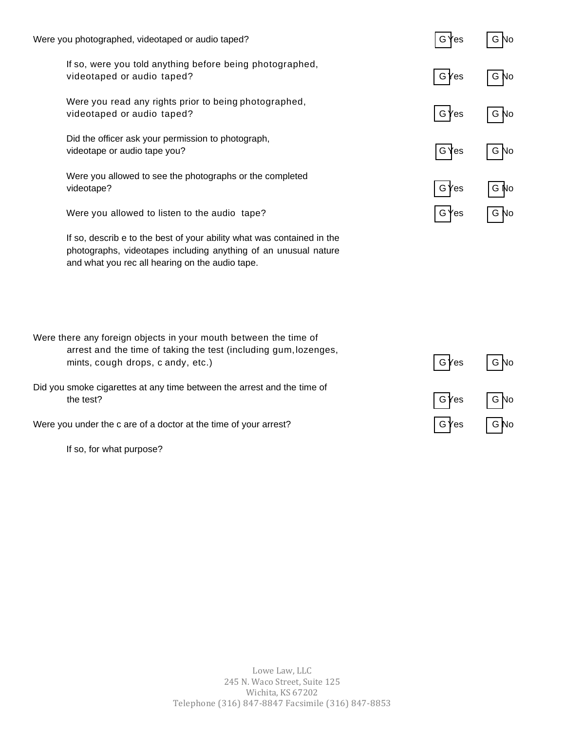| Were you photographed, videotaped or audio taped?                                                                                                                                            | G Yes   | G No |
|----------------------------------------------------------------------------------------------------------------------------------------------------------------------------------------------|---------|------|
| If so, were you told anything before being photographed,<br>videotaped or audio taped?                                                                                                       | G Yes   | G No |
| Were you read any rights prior to being photographed,<br>videotaped or audio taped?                                                                                                          | GYes    | G No |
| Did the officer ask your permission to photograph,<br>videotape or audio tape you?                                                                                                           | G Yes   | G No |
| Were you allowed to see the photographs or the completed<br>videotape?                                                                                                                       | $G$ Yes | G No |
| Were you allowed to listen to the audio tape?                                                                                                                                                | $G$ Yes | G No |
| If so, describ e to the best of your ability what was contained in the<br>photographs, videotapes including anything of an unusual nature<br>and what you rec all hearing on the audio tape. |         |      |

Were there any foreign objects in your mouth between the time of arrest and the time of taking the test (including gum,lozenges, mints, cough drops, c andy, etc.)

Did you smoke cigarettes at any time between the arrest and the time of the test?

Were you under the c are of a doctor at the time of your arrest?

If so, for what purpose?

| $\lfloor$ G $\sqrt{e}$ s | $\vert$ G $\vert$ to |
|--------------------------|----------------------|
| G∤es                     | $\vert$ G $\vert$ to |
| $G$ $\gamma$ es          | $\int G$ No          |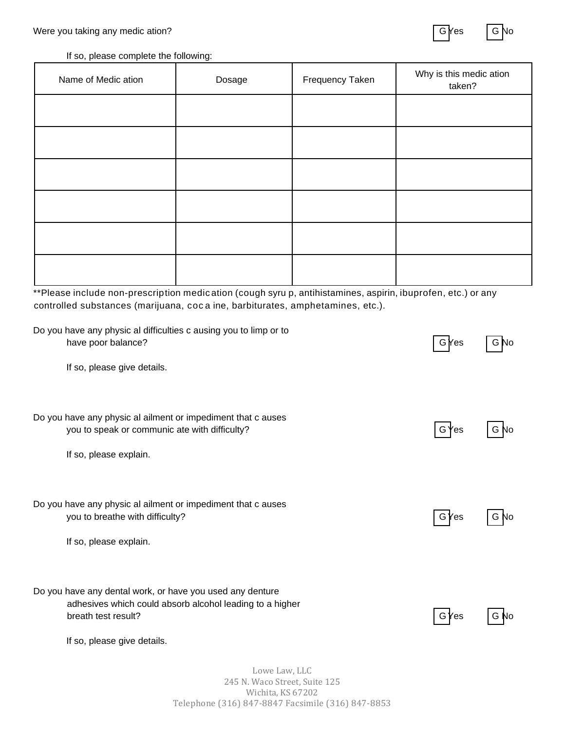Yes

If so, please complete the following:

| Name of Medic ation | Dosage | Frequency Taken | Why is this medic ation<br>taken? |
|---------------------|--------|-----------------|-----------------------------------|
|                     |        |                 |                                   |
|                     |        |                 |                                   |
|                     |        |                 |                                   |
|                     |        |                 |                                   |
|                     |        |                 |                                   |
|                     |        |                 |                                   |

\*\*Please include non-prescription medic ation (cough syru p, antihistamines, aspirin, ibuprofen, etc.) or any controlled substances (marijuana, coc a ine, barbiturates, amphetamines, etc.).

| Do you have any physic al difficulties c ausing you to limp or to<br>have poor balance?                                                      | G Yes |  |
|----------------------------------------------------------------------------------------------------------------------------------------------|-------|--|
| If so, please give details.                                                                                                                  |       |  |
| Do you have any physic al ailment or impediment that c auses<br>you to speak or communic ate with difficulty?                                | G Yes |  |
| If so, please explain.                                                                                                                       |       |  |
| Do you have any physic al ailment or impediment that c auses<br>you to breathe with difficulty?                                              | G Yes |  |
| If so, please explain.                                                                                                                       |       |  |
| Do you have any dental work, or have you used any denture<br>adhesives which could absorb alcohol leading to a higher<br>breath test result? | G Yes |  |
| If so, please give details.                                                                                                                  |       |  |
| Lowe Law, LLC                                                                                                                                |       |  |

245 N. Waco Street, Suite 125 Wichita, KS 67202 Telephone (316) 847-8847 Facsimile (316) 847-8853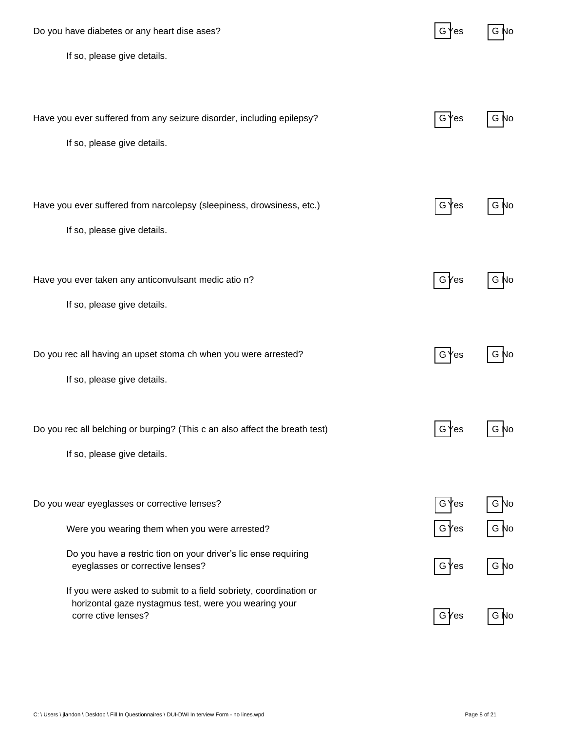| Do you have diabetes or any heart dise ases?                                                                              | 'es     |          |
|---------------------------------------------------------------------------------------------------------------------------|---------|----------|
| If so, please give details.                                                                                               |         |          |
|                                                                                                                           |         |          |
| Have you ever suffered from any seizure disorder, including epilepsy?                                                     | G Yes   |          |
| If so, please give details.                                                                                               |         |          |
|                                                                                                                           |         |          |
| Have you ever suffered from narcolepsy (sleepiness, drowsiness, etc.)                                                     | G Yes   |          |
| If so, please give details.                                                                                               |         |          |
| Have you ever taken any anticonvulsant medic atio n?                                                                      | G Yes   |          |
| If so, please give details.                                                                                               |         |          |
|                                                                                                                           |         |          |
| Do you rec all having an upset stoma ch when you were arrested?                                                           | G Yes   |          |
| If so, please give details.                                                                                               |         |          |
| Do you rec all belching or burping? (This c an also affect the breath test)                                               | $G$ Yes | G No     |
| If so, please give details.                                                                                               |         |          |
|                                                                                                                           |         |          |
| Do you wear eyeglasses or corrective lenses?                                                                              | Έs      | G.<br>Νo |
| Were you wearing them when you were arrested?                                                                             | G Yes   |          |
| Do you have a restric tion on your driver's lic ense requiring<br>eyeglasses or corrective lenses?                        | G Yes   | G No     |
| If you were asked to submit to a field sobriety, coordination or<br>horizontal gaze nystagmus test, were you wearing your |         |          |
| corre ctive lenses?                                                                                                       | G Yes   | G No     |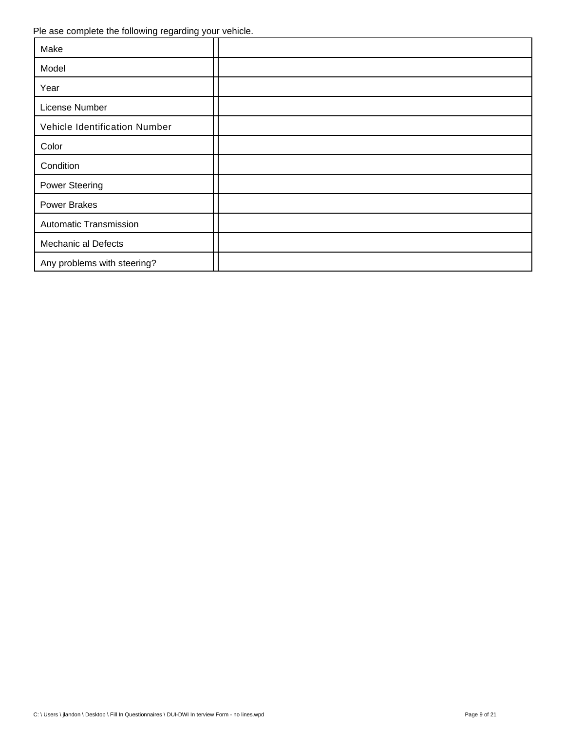Ple ase complete the following regarding your vehicle.

| Make                          |  |
|-------------------------------|--|
| Model                         |  |
| Year                          |  |
| License Number                |  |
| Vehicle Identification Number |  |
| Color                         |  |
| Condition                     |  |
| <b>Power Steering</b>         |  |
| <b>Power Brakes</b>           |  |
| <b>Automatic Transmission</b> |  |
| Mechanic al Defects           |  |
| Any problems with steering?   |  |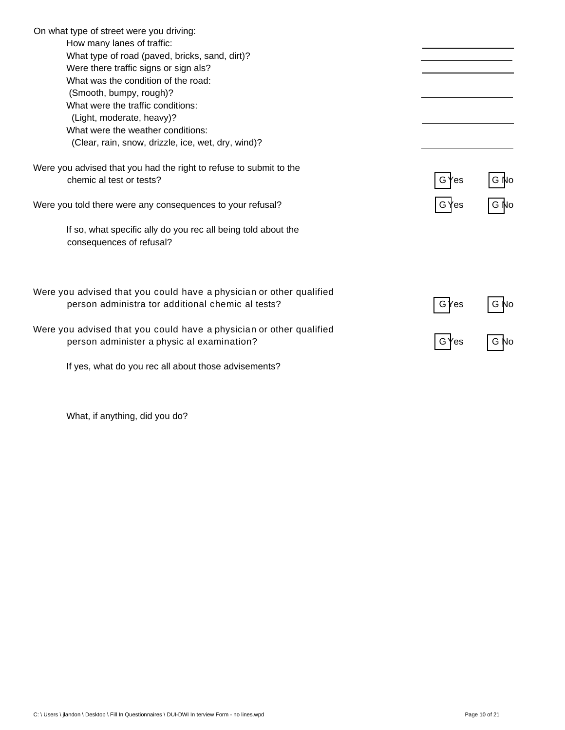| On what type of street were you driving:                                                                          |          |         |
|-------------------------------------------------------------------------------------------------------------------|----------|---------|
| How many lanes of traffic:                                                                                        |          |         |
| What type of road (paved, bricks, sand, dirt)?                                                                    |          |         |
| Were there traffic signs or sign als?                                                                             |          |         |
| What was the condition of the road:                                                                               |          |         |
| (Smooth, bumpy, rough)?                                                                                           |          |         |
| What were the traffic conditions:                                                                                 |          |         |
| (Light, moderate, heavy)?                                                                                         |          |         |
| What were the weather conditions:                                                                                 |          |         |
| (Clear, rain, snow, drizzle, ice, wet, dry, wind)?                                                                |          |         |
| Were you advised that you had the right to refuse to submit to the                                                |          |         |
| chemic al test or tests?                                                                                          | G<br>⁄es |         |
|                                                                                                                   |          |         |
| Were you told there were any consequences to your refusal?                                                        | G Yes    | G No    |
| If so, what specific ally do you rec all being told about the<br>consequences of refusal?                         |          |         |
|                                                                                                                   |          |         |
| Were you advised that you could have a physician or other qualified                                               |          |         |
| person administra tor additional chemic al tests?                                                                 | G Yes    | G No    |
|                                                                                                                   |          |         |
| Were you advised that you could have a physician or other qualified<br>person administer a physic al examination? | G Yes    | G<br>N0 |
|                                                                                                                   |          |         |
| If yes, what do you rec all about those advisements?                                                              |          |         |

What, if anything, did you do?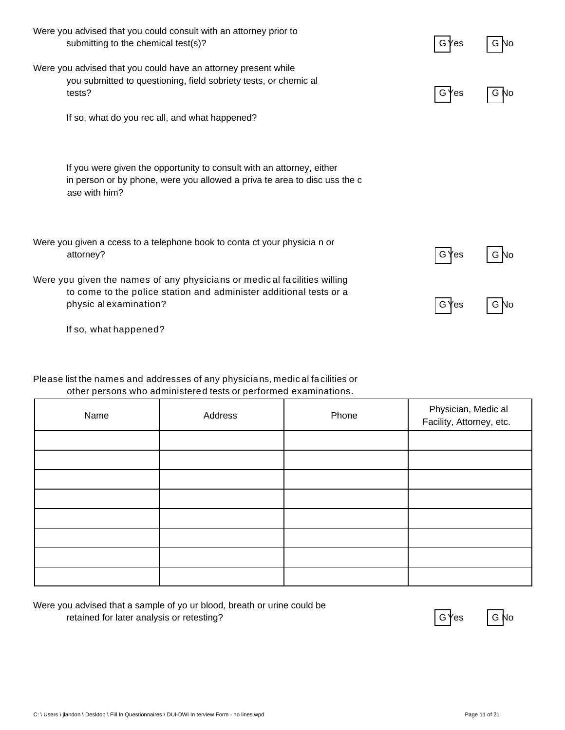| Were you advised that you could consult with an attorney prior to<br>submitting to the chemical test(s)?                                                                 | G Yes | G No |
|--------------------------------------------------------------------------------------------------------------------------------------------------------------------------|-------|------|
| Were you advised that you could have an attorney present while<br>you submitted to questioning, field sobriety tests, or chemic al<br>tests?                             | G Yes |      |
| If so, what do you rec all, and what happened?                                                                                                                           |       |      |
| If you were given the opportunity to consult with an attorney, either<br>in person or by phone, were you allowed a priva te area to disc uss the c<br>ase with him?      |       |      |
| Were you given a ccess to a telephone book to conta ct your physicia n or<br>attorney?                                                                                   | G Yes | G No |
| Were you given the names of any physicians or medical facilities willing<br>to come to the police station and administer additional tests or a<br>physic al examination? | G Yes |      |
| If so, what happened?                                                                                                                                                    |       |      |

## Please list the names and addresses of any physicians, medic al facilities or other persons who administered tests or performed examinations.

| Name | Address | Phone | Physician, Medic al<br>Facility, Attorney, etc. |
|------|---------|-------|-------------------------------------------------|
|      |         |       |                                                 |
|      |         |       |                                                 |
|      |         |       |                                                 |
|      |         |       |                                                 |
|      |         |       |                                                 |
|      |         |       |                                                 |
|      |         |       |                                                 |
|      |         |       |                                                 |

Were you advised that a sample of yo ur blood, breath or urine could be retained for later analysis or retesting?

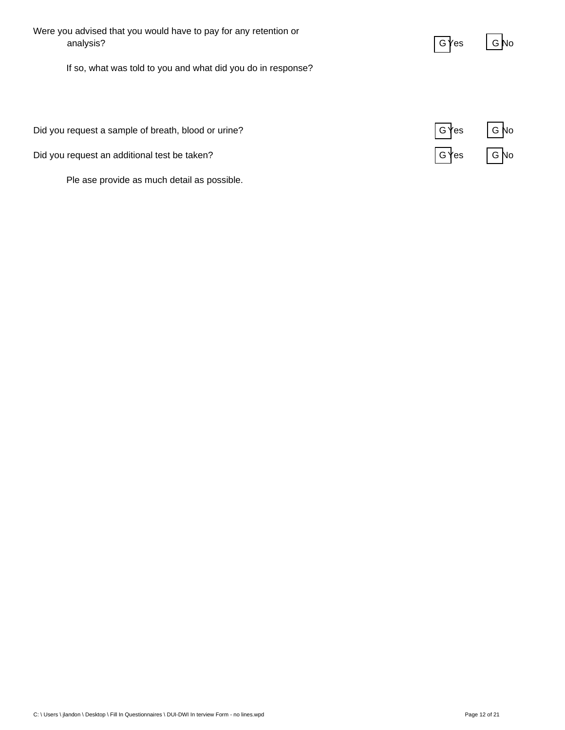Were you advised that you would have to pay for any retention or analysis?

If so, what was told to you and what did you do in response?

Did you request a sample of breath, blood or urine?

Did you request an additional test be taken?

Ple ase provide as much detail as possible.

| G Yes | G No |
|-------|------|
| G Yes | G No |

GYes G No

C: \ Users \ jlandon \ Desktop \ Fill In Questionnaires \ DUI-DWI In terview Form - no lines.wpd Page 12 of 21 of 21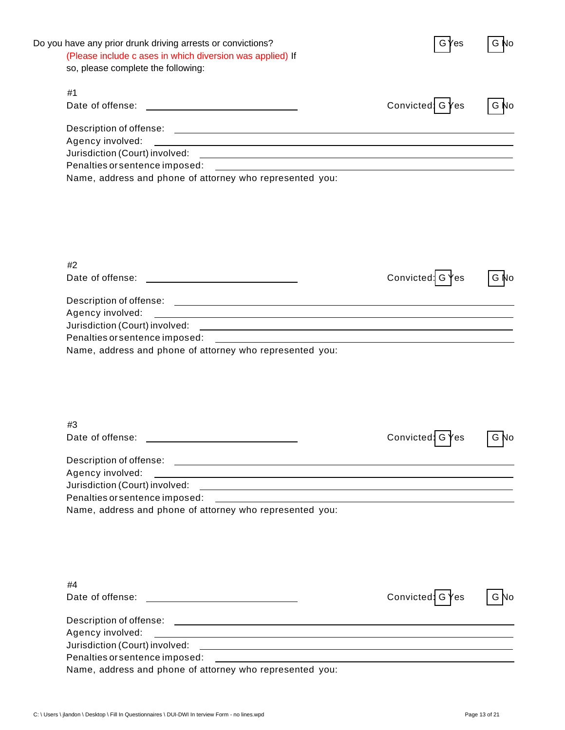| Do you have any prior drunk driving arrests or convictions?<br>(Please include c ases in which diversion was applied) If                                                                                                       | G Yes            |  |
|--------------------------------------------------------------------------------------------------------------------------------------------------------------------------------------------------------------------------------|------------------|--|
| so, please complete the following:                                                                                                                                                                                             |                  |  |
| #1                                                                                                                                                                                                                             |                  |  |
|                                                                                                                                                                                                                                | Convicted GYes   |  |
|                                                                                                                                                                                                                                |                  |  |
| Agency involved:<br><u> Alexandria de la contrada de la contrada de la contrada de la contrada de la contrada de la contrada de la c</u>                                                                                       |                  |  |
|                                                                                                                                                                                                                                |                  |  |
|                                                                                                                                                                                                                                |                  |  |
| Name, address and phone of attorney who represented you:                                                                                                                                                                       |                  |  |
|                                                                                                                                                                                                                                |                  |  |
| #2                                                                                                                                                                                                                             |                  |  |
| Date of offense: example and the set of the set of the set of the set of the set of the set of the set of the set of the set of the set of the set of the set of the set of the set of the set of the set of the set of the se | Convicted: G Yes |  |
|                                                                                                                                                                                                                                |                  |  |
| Agency involved:<br><u> Andreas Andreas Andreas Andreas Andreas Andreas Andreas Andreas Andreas Andreas Andreas Andreas Andreas Andr</u>                                                                                       |                  |  |
|                                                                                                                                                                                                                                |                  |  |
|                                                                                                                                                                                                                                |                  |  |
| Name, address and phone of attorney who represented you:                                                                                                                                                                       |                  |  |
| #3                                                                                                                                                                                                                             |                  |  |
|                                                                                                                                                                                                                                | Convicted G Yes  |  |
|                                                                                                                                                                                                                                |                  |  |
| Date of offense:<br>Agency involved:<br><u> Alexandria de la contrada de la contrada de la contrada de la contrada de la contrada de la contrada de la c</u>                                                                   |                  |  |
|                                                                                                                                                                                                                                |                  |  |
|                                                                                                                                                                                                                                |                  |  |
|                                                                                                                                                                                                                                |                  |  |
| Name, address and phone of attorney who represented you:                                                                                                                                                                       |                  |  |
|                                                                                                                                                                                                                                |                  |  |
|                                                                                                                                                                                                                                | Convicted: G Yes |  |
| #4                                                                                                                                                                                                                             |                  |  |
| Agency involved:<br><u> 1989 - Johann Barn, fransk politik amerikansk politik (d. 1989)</u>                                                                                                                                    |                  |  |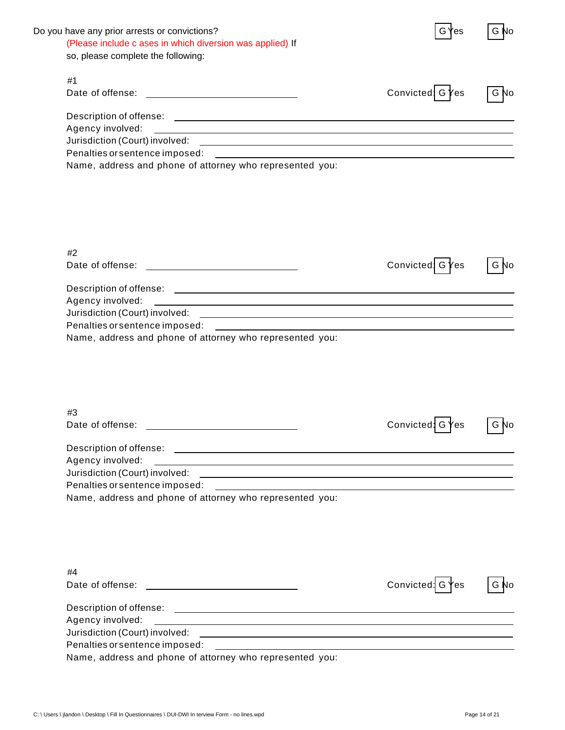| Do you have any prior arrests or convictions?<br>(Please include c ases in which diversion was applied) If                                                                                                                                                                                                                               |                    |  |
|------------------------------------------------------------------------------------------------------------------------------------------------------------------------------------------------------------------------------------------------------------------------------------------------------------------------------------------|--------------------|--|
| so, please complete the following:                                                                                                                                                                                                                                                                                                       |                    |  |
| #1                                                                                                                                                                                                                                                                                                                                       |                    |  |
| Date of offense:                                                                                                                                                                                                                                                                                                                         | Convicted G Yes    |  |
|                                                                                                                                                                                                                                                                                                                                          |                    |  |
| Agency involved:<br><u> Alexandria de la contrada de la contrada de la contrada de la contrada de la contrada de la contrada de la c</u>                                                                                                                                                                                                 |                    |  |
|                                                                                                                                                                                                                                                                                                                                          |                    |  |
|                                                                                                                                                                                                                                                                                                                                          |                    |  |
| Name, address and phone of attorney who represented you:                                                                                                                                                                                                                                                                                 |                    |  |
|                                                                                                                                                                                                                                                                                                                                          |                    |  |
| #2                                                                                                                                                                                                                                                                                                                                       |                    |  |
| Date of offense:                                                                                                                                                                                                                                                                                                                         | Convicted G Yes    |  |
|                                                                                                                                                                                                                                                                                                                                          |                    |  |
|                                                                                                                                                                                                                                                                                                                                          |                    |  |
|                                                                                                                                                                                                                                                                                                                                          |                    |  |
|                                                                                                                                                                                                                                                                                                                                          |                    |  |
|                                                                                                                                                                                                                                                                                                                                          |                    |  |
|                                                                                                                                                                                                                                                                                                                                          |                    |  |
|                                                                                                                                                                                                                                                                                                                                          | Convicted G Yes    |  |
|                                                                                                                                                                                                                                                                                                                                          |                    |  |
|                                                                                                                                                                                                                                                                                                                                          |                    |  |
| <u> Alexandria de la contrada de la contrada de la contrada de la contrada de la contrada de la contrada de la c</u>                                                                                                                                                                                                                     |                    |  |
|                                                                                                                                                                                                                                                                                                                                          |                    |  |
|                                                                                                                                                                                                                                                                                                                                          |                    |  |
|                                                                                                                                                                                                                                                                                                                                          |                    |  |
|                                                                                                                                                                                                                                                                                                                                          |                    |  |
|                                                                                                                                                                                                                                                                                                                                          | Convicted: $G$ Yes |  |
|                                                                                                                                                                                                                                                                                                                                          |                    |  |
| Agency involved:<br>Name, address and phone of attorney who represented you:<br>#3<br>Date of offense:<br>Agency involved:<br>Name, address and phone of attorney who represented you:<br>#4<br>Agency involved:<br><u> Andreas Andreas Andreas Andreas Andreas Andreas Andreas Andreas Andreas Andreas Andreas Andreas Andreas Andr</u> |                    |  |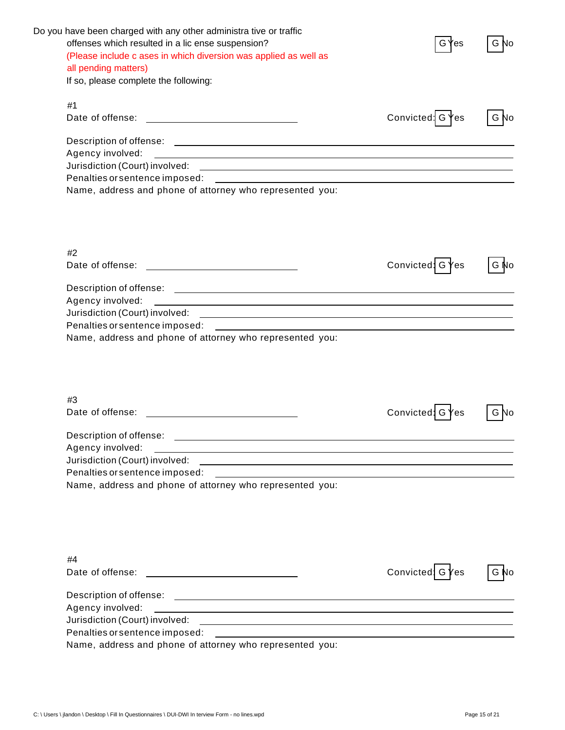| offenses which resulted in a lic ense suspension?<br>(Please include c ases in which diversion was applied as well as<br>all pending matters)<br>If so, please complete the following:                                                                   | G<br>es'         | G No |
|----------------------------------------------------------------------------------------------------------------------------------------------------------------------------------------------------------------------------------------------------------|------------------|------|
| #1<br><u> 1990 - John Stone, amerikansk politiker (</u><br>Date of offense:                                                                                                                                                                              | Convicted: G Yes | G No |
|                                                                                                                                                                                                                                                          |                  |      |
| Agency involved:<br><u> Andreas Andreas Andreas Andreas Andreas Andreas Andreas Andreas Andreas Andreas Andreas Andreas Andreas Andr</u>                                                                                                                 |                  |      |
|                                                                                                                                                                                                                                                          |                  |      |
|                                                                                                                                                                                                                                                          |                  |      |
| Name, address and phone of attorney who represented you:                                                                                                                                                                                                 |                  |      |
|                                                                                                                                                                                                                                                          |                  |      |
| #2                                                                                                                                                                                                                                                       |                  |      |
|                                                                                                                                                                                                                                                          | Convicted: G Yes | G No |
|                                                                                                                                                                                                                                                          |                  |      |
| Agency involved:<br><u> 1989 - Johann Stoff, amerikansk politiker (d. 1989)</u>                                                                                                                                                                          |                  |      |
| Jurisdiction (Court) involved:<br><u> Alexandria de la contrada de la contrada de la contrada de la contrada de la contrada de la contrada de la c</u>                                                                                                   |                  |      |
|                                                                                                                                                                                                                                                          |                  |      |
| Name, address and phone of attorney who represented you:                                                                                                                                                                                                 |                  |      |
| #3<br>Date of offense:                                                                                                                                                                                                                                   | Convicted: G Yes |      |
|                                                                                                                                                                                                                                                          |                  |      |
|                                                                                                                                                                                                                                                          |                  |      |
| Agency involved:<br><u>state and the state of the state of the state of the state of the state of the state of the state of the state of the state of the state of the state of the state of the state of the state of the state of the state of the</u> |                  |      |
|                                                                                                                                                                                                                                                          |                  |      |
| Name, address and phone of attorney who represented you:                                                                                                                                                                                                 |                  |      |
|                                                                                                                                                                                                                                                          |                  |      |
| #4                                                                                                                                                                                                                                                       |                  | G No |
|                                                                                                                                                                                                                                                          | Convicted G Yes  | G No |
|                                                                                                                                                                                                                                                          |                  |      |
| Agency involved:                                                                                                                                                                                                                                         |                  |      |
| <u> 1989 - Johann Stoff, deutscher Stoff, der Stoff, der Stoff, der Stoff, der Stoff, der Stoff, der Stoff, der S</u>                                                                                                                                    |                  |      |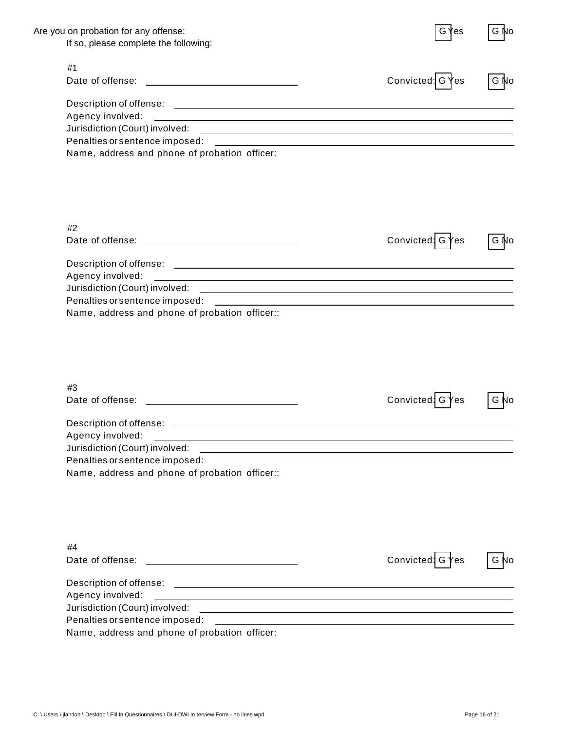| Are you on probation for any offense:<br>If so, please complete the following:                                                             | G)<br>'es        |  |
|--------------------------------------------------------------------------------------------------------------------------------------------|------------------|--|
|                                                                                                                                            |                  |  |
| #1                                                                                                                                         |                  |  |
| <u> Liste de la construcción de la construcción de la construcción de la construcción de la construcción de la c</u><br>Date of offense:   | Convicted: G Yes |  |
|                                                                                                                                            |                  |  |
| Agency involved:<br><u> Alexandria de la contrada de la contrada de la contrada de la contrada de la contrada de la contrada de la c</u>   |                  |  |
|                                                                                                                                            |                  |  |
|                                                                                                                                            |                  |  |
| Name, address and phone of probation officer:                                                                                              |                  |  |
|                                                                                                                                            |                  |  |
| #2                                                                                                                                         |                  |  |
| Date of offense:<br><u> 1989 - Johann Barn, mars ann an t-Amhainn an t-A</u>                                                               | Convicted: G Yes |  |
|                                                                                                                                            |                  |  |
| Agency involved:<br><u> Andreas Andreas Andreas Andreas Andreas Andreas Andreas Andreas Andreas Andreas Andreas Andreas Andreas Andr</u>   |                  |  |
|                                                                                                                                            |                  |  |
|                                                                                                                                            |                  |  |
|                                                                                                                                            |                  |  |
| Name, address and phone of probation officer::                                                                                             |                  |  |
| #3                                                                                                                                         |                  |  |
| Date of offense:<br><u> 1980 - John Stein, mars and de Brazilian (b. 1980)</u>                                                             | Convicted G      |  |
| Description of offense:                                                                                                                    |                  |  |
| Agency involved:<br><u> 1989 - Johann Stoff, deutscher Stoffen und der Stoffen und der Stoffen und der Stoffen und der Stoffen und der</u> |                  |  |
| Jurisdiction (Court) involved:                                                                                                             |                  |  |
|                                                                                                                                            |                  |  |
| Name, address and phone of probation officer::                                                                                             |                  |  |
|                                                                                                                                            |                  |  |
| #4                                                                                                                                         |                  |  |
|                                                                                                                                            | Convicted GYes   |  |
|                                                                                                                                            |                  |  |
| Agency involved:                                                                                                                           |                  |  |
| <u> Alexandria de la contrada de la contrada de la contrada de la contrada de la contrada de la contrada de la c</u>                       |                  |  |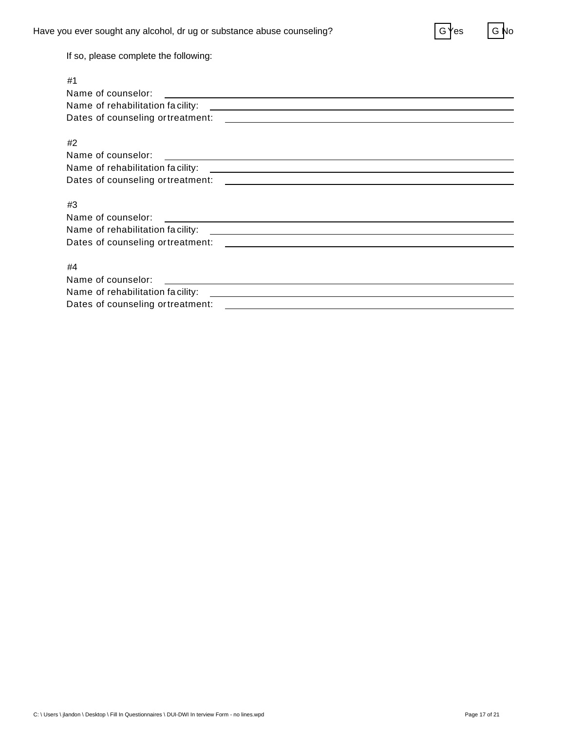| <b>AS</b> | N۵  |
|-----------|-----|
| G.        | эĤ. |

If so, please complete the following:

| <u> 1999 - Johann Barbara, marka a shekara ta 1999 - Anna a tsarann an tsarann an tsarann an tsarann an tsarann a</u>                                                                                                                                                                                                                                                                                   |
|---------------------------------------------------------------------------------------------------------------------------------------------------------------------------------------------------------------------------------------------------------------------------------------------------------------------------------------------------------------------------------------------------------|
|                                                                                                                                                                                                                                                                                                                                                                                                         |
|                                                                                                                                                                                                                                                                                                                                                                                                         |
|                                                                                                                                                                                                                                                                                                                                                                                                         |
|                                                                                                                                                                                                                                                                                                                                                                                                         |
|                                                                                                                                                                                                                                                                                                                                                                                                         |
|                                                                                                                                                                                                                                                                                                                                                                                                         |
| <u> 1989 - Johann Stein, mars an deus Amerikaansk kommunister (</u><br><u> Andreas Andreas Andreas Andreas Andreas Andreas Andreas Andreas Andreas Andreas Andreas Andreas Andreas Andr</u><br><u> 1989 - Johann Stein, mars an de British Barbara (b. 1989)</u><br><u> 1989 - Johann Stein, mars an deus Amerikaansk kommunister (</u><br><u> 1989 - Johann Barbara, martxa eta idazlea (h. 1989).</u> |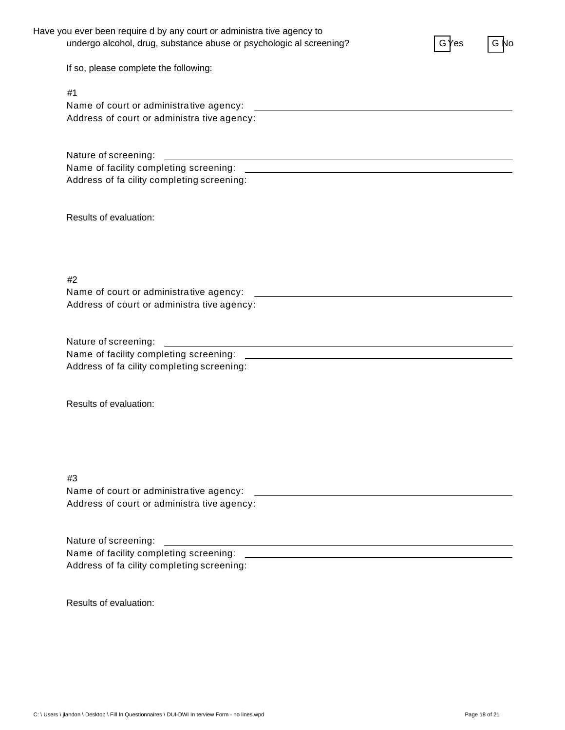| Name of court or administrative agency:     |
|---------------------------------------------|
| Address of court or administra tive agency: |

Nature of screening: Name of facility completing screening: \_\_\_\_\_\_ Address of fa cility completing screening:

Results of evaluation:

#2 Name of court or administrative agency: Address of court or administra tive agency:

Nature of screening: Name of facility completing screening: Address of fa cility completing screening:

Results of evaluation:

#3 Name of court or administrative agency: \_\_\_\_\_\_\_\_ Address of court or administra tive agency:

Nature of screening: \_\_\_\_\_\_\_\_\_\_ Name of facility completing screening: \_\_\_\_\_\_\_\_\_ Address of fa cility completing screening:

Results of evaluation:



| If so, please complete the following: |  |
|---------------------------------------|--|

Have you ever been require d by any court or administra tive agency to

undergo alcohol, drug, substance abuse or psychologic al screening?

#1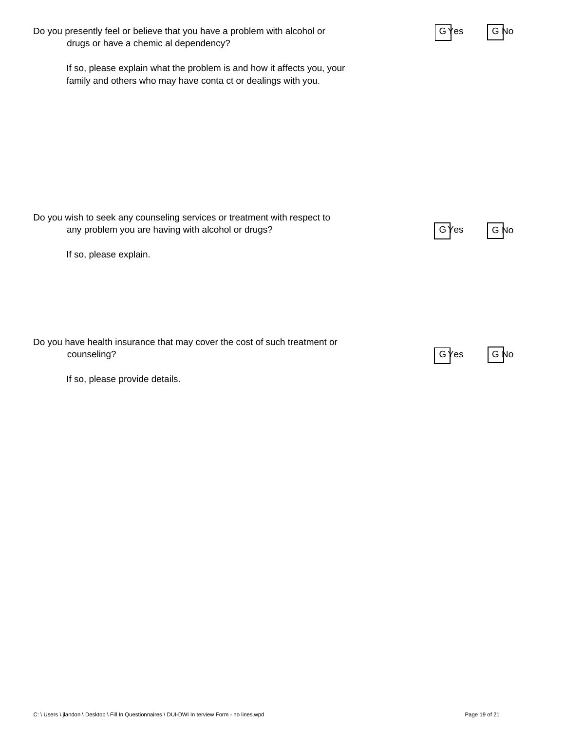Do you presently feel or believe that you have a problem with alcohol or drugs or have a chemic al dependency?

> If so, please explain what the problem is and how it affects you, your family and others who may have conta ct or dealings with you.

any problem you are having with alcohol or drugs? If so, please explain.

Do you wish to seek any counseling services or treatment with respect to

Do you have health insurance that may cover the cost of such treatment or counseling?

If so, please provide details.



GYes GNo

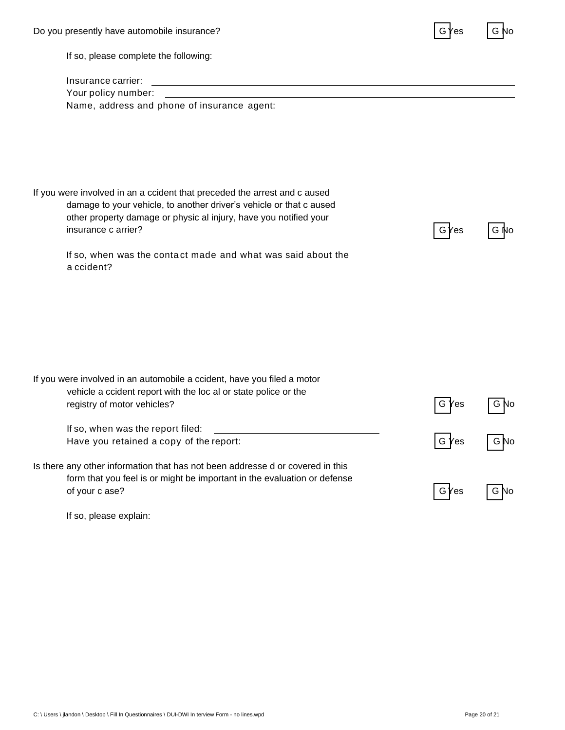If so, please complete the following:

Insurance carrier:

Your policy number:

Name, address and phone of insurance agent:

If you were involved in an a ccident that preceded the arrest and c aused damage to your vehicle, to another driver's vehicle or that c aused other property damage or physic al injury, have you notified your insurance c arrier?

> If so, when was the conta ct made and what was said about the a ccident?

If you were involved in an automobile a ccident, have you filed a motor vehicle a ccident report with the loc al or state police or the registry of motor vehicles? G Yes G No If so, when was the report filed: Have you retained a copy of the report: G Yes G No

Is there any other information that has not been addresse d or covered in this form that you feel is or might be important in the evaluation or defense of your c ase?

If so, please explain:

GYes GNo



GYes GNo